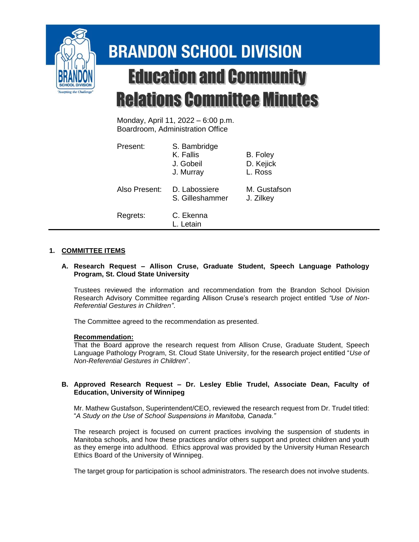

# **BRANDON SCHOOL DIVISION Education and Community Relations Committee Minutes**

Monday, April 11, 2022 – 6:00 p.m. Boardroom, Administration Office

| Present:      | S. Bambridge<br>K. Fallis<br>J. Gobeil<br>J. Murray | B. Foley<br>D. Kejick<br>L. Ross |
|---------------|-----------------------------------------------------|----------------------------------|
| Also Present: | D. Labossiere<br>S. Gilleshammer                    | M. Gustafson<br>J. Zilkey        |
| Regrets:      | C. Ekenna<br>L. Letain                              |                                  |

# **1. COMMITTEE ITEMS**

### **A. Research Request – Allison Cruse, Graduate Student, Speech Language Pathology Program, St. Cloud State University**

Trustees reviewed the information and recommendation from the Brandon School Division Research Advisory Committee regarding Allison Cruse's research project entitled *"Use of Non-Referential Gestures in Children"*.

The Committee agreed to the recommendation as presented.

# **Recommendation:**

That the Board approve the research request from Allison Cruse, Graduate Student, Speech Language Pathology Program, St. Cloud State University, for the research project entitled "*Use of Non-Referential Gestures in Children*".

### **B. Approved Research Request – Dr. Lesley Eblie Trudel, Associate Dean, Faculty of Education, University of Winnipeg**

Mr. Mathew Gustafson, Superintendent/CEO, reviewed the research request from Dr. Trudel titled: "*A Study on the Use of School Suspensions in Manitoba, Canada."*

The research project is focused on current practices involving the suspension of students in Manitoba schools, and how these practices and/or others support and protect children and youth as they emerge into adulthood. Ethics approval was provided by the University Human Research Ethics Board of the University of Winnipeg.

The target group for participation is school administrators. The research does not involve students.